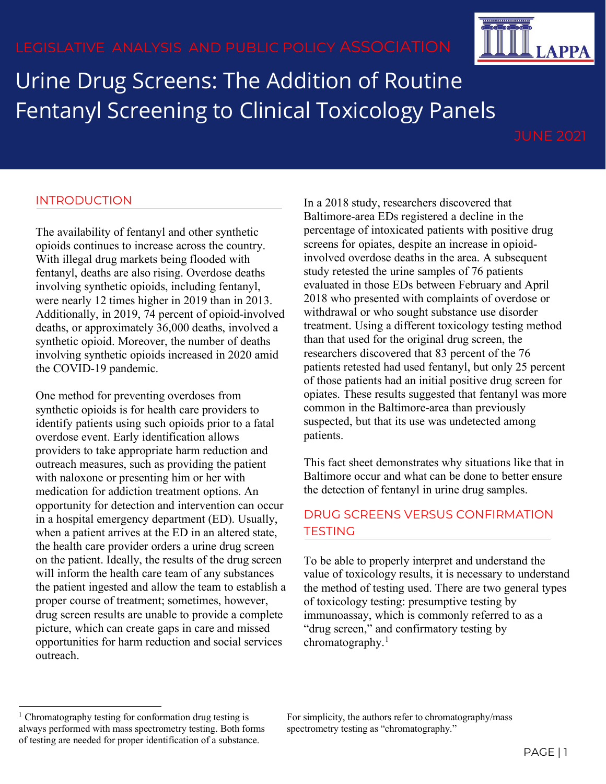Urine Drug Screens: The Addition of Routine Fentanyl Screening to Clinical Toxicology Panels

### INTRODUCTION

The availability of fentanyl and other synthetic opioids continues to increase across the country. With illegal drug markets being flooded with fentanyl, deaths are also rising. Overdose deaths involving synthetic opioids, including fentanyl, were nearly 12 times higher in 2019 than in 2013. Additionally, in 2019, 74 percent of opioid-involved deaths, or approximately 36,000 deaths, involved a synthetic opioid. Moreover, the number of deaths involving synthetic opioids increased in 2020 amid the COVID-19 pandemic.

One method for preventing overdoses from synthetic opioids is for health care providers to identify patients using such opioids prior to a fatal overdose event. Early identification allows providers to take appropriate harm reduction and outreach measures, such as providing the patient with naloxone or presenting him or her with medication for addiction treatment options. An opportunity for detection and intervention can occur in a hospital emergency department (ED). Usually, when a patient arrives at the ED in an altered state, the health care provider orders a urine drug screen on the patient. Ideally, the results of the drug screen will inform the health care team of any substances the patient ingested and allow the team to establish a proper course of treatment; sometimes, however, drug screen results are unable to provide a complete picture, which can create gaps in care and missed opportunities for harm reduction and social services outreach.

In a 2018 study, researchers discovered that Baltimore-area EDs registered a decline in the percentage of intoxicated patients with positive drug screens for opiates, despite an increase in opioidinvolved overdose deaths in the area. A subsequent study retested the urine samples of 76 patients evaluated in those EDs between February and April 2018 who presented with complaints of overdose or withdrawal or who sought substance use disorder treatment. Using a different toxicology testing method than that used for the original drug screen, the researchers discovered that 83 percent of the 76 patients retested had used fentanyl, but only 25 percent of those patients had an initial positive drug screen for opiates. These results suggested that fentanyl was more common in the Baltimore-area than previously suspected, but that its use was undetected among patients.

This fact sheet demonstrates why situations like that in Baltimore occur and what can be done to better ensure the detection of fentanyl in urine drug samples.

# DRUG SCREENS VERSUS CONFIRMATION **TESTING**

To be able to properly interpret and understand the value of toxicology results, it is necessary to understand the method of testing used. There are two general types of toxicology testing: presumptive testing by immunoassay, which is commonly referred to as a "drug screen," and confirmatory testing by chromatography. $1$ 



<span id="page-0-0"></span><sup>&</sup>lt;sup>1</sup> Chromatography testing for conformation drug testing is always performed with mass spectrometry testing. Both forms of testing are needed for proper identification of a substance.

For simplicity, the authors refer to chromatography/mass spectrometry testing as "chromatography."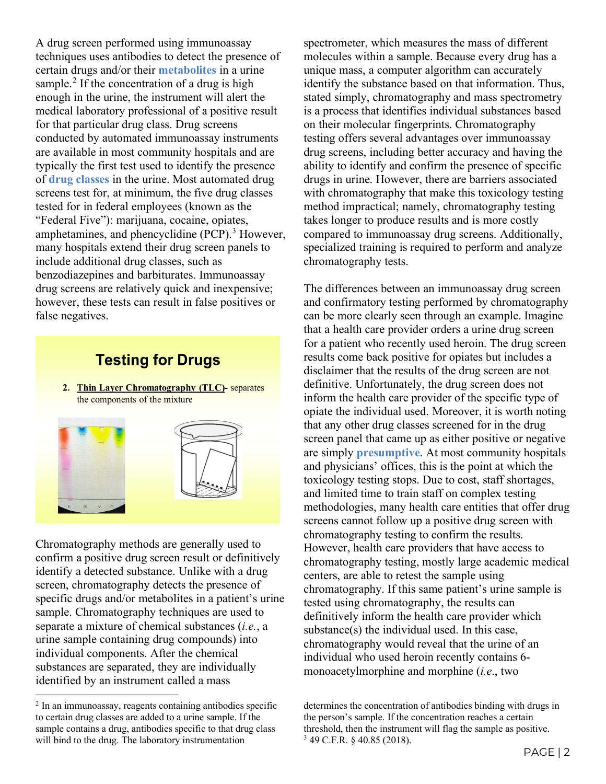A drug screen performed using immunoassay techniques uses antibodies to detect the presence of certain drugs and/or their **metabolites** in a urine sample.<sup>[2](#page-1-0)</sup> If the concentration of a drug is high enough in the urine, the instrument will alert the medical laboratory professional of a positive result for that particular drug class. Drug screens conducted by automated immunoassay instruments are available in most community hospitals and are typically the first test used to identify the presence of **drug classes** in the urine. Most automated drug screens test for, at minimum, the five drug classes tested for in federal employees (known as the "Federal Five"): marijuana, cocaine, opiates, amphetamines, and phencyclidine  $(PCP)$ .<sup>[3](#page-1-1)</sup> However, many hospitals extend their drug screen panels to include additional drug classes, such as benzodiazepines and barbiturates. Immunoassay drug screens are relatively quick and inexpensive; however, these tests can result in false positives or false negatives.

# **Testing for Drugs**

2. Thin Layer Chromatography (TLC)- separates the components of the mixture



Chromatography methods are generally used to confirm a positive drug screen result or definitively identify a detected substance. Unlike with a drug screen, chromatography detects the presence of specific drugs and/or metabolites in a patient's urine sample. Chromatography techniques are used to separate a mixture of chemical substances (*i.e.*, a urine sample containing drug compounds) into individual components. After the chemical substances are separated, they are individually identified by an instrument called a mass

spectrometer, which measures the mass of different molecules within a sample. Because every drug has a unique mass, a computer algorithm can accurately identify the substance based on that information. Thus, stated simply, chromatography and mass spectrometry is a process that identifies individual substances based on their molecular fingerprints. Chromatography testing offers several advantages over immunoassay drug screens, including better accuracy and having the ability to identify and confirm the presence of specific drugs in urine. However, there are barriers associated with chromatography that make this toxicology testing method impractical; namely, chromatography testing takes longer to produce results and is more costly compared to immunoassay drug screens. Additionally, specialized training is required to perform and analyze chromatography tests.

The differences between an immunoassay drug screen and confirmatory testing performed by chromatography can be more clearly seen through an example. Imagine that a health care provider orders a urine drug screen for a patient who recently used heroin. The drug screen results come back positive for opiates but includes a disclaimer that the results of the drug screen are not definitive. Unfortunately, the drug screen does not inform the health care provider of the specific type of opiate the individual used. Moreover, it is worth noting that any other drug classes screened for in the drug screen panel that came up as either positive or negative are simply **presumptive**. At most community hospitals and physicians' offices, this is the point at which the toxicology testing stops. Due to cost, staff shortages, and limited time to train staff on complex testing methodologies, many health care entities that offer drug screens cannot follow up a positive drug screen with chromatography testing to confirm the results. However, health care providers that have access to chromatography testing, mostly large academic medical centers, are able to retest the sample using chromatography. If this same patient's urine sample is tested using chromatography, the results can definitively inform the health care provider which substance(s) the individual used. In this case, chromatography would reveal that the urine of an individual who used heroin recently contains 6 monoacetylmorphine and morphine (*i.e*., two

<span id="page-1-1"></span><span id="page-1-0"></span><sup>2</sup> In an immunoassay, reagents containing antibodies specific to certain drug classes are added to a urine sample. If the sample contains a drug, antibodies specific to that drug class will bind to the drug. The laboratory instrumentation

determines the concentration of antibodies binding with drugs in the person's sample. If the concentration reaches a certain threshold, then the instrument will flag the sample as positive. <sup>3</sup> 49 C.F.R. § 40.85 (2018).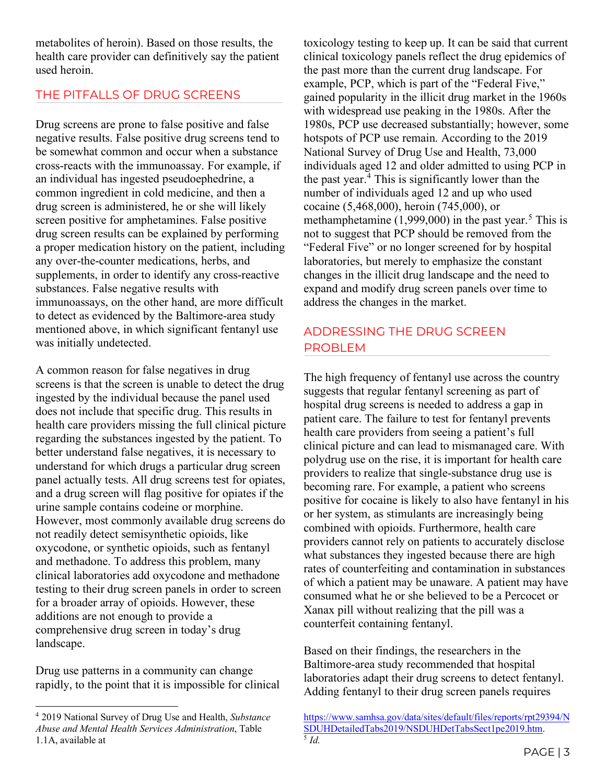metabolites of heroin). Based on those results, the health care provider can definitively say the patient used heroin.

### THE PITFALLS OF DRUG SCREENS

Drug screens are prone to false positive and false negative results. False positive drug screens tend to be somewhat common and occur when a substance cross-reacts with the immunoassay. For example, if an individual has ingested pseudoephedrine, a common ingredient in cold medicine, and then a drug screen is administered, he or she will likely screen positive for amphetamines. False positive drug screen results can be explained by performing a proper medication history on the patient, including any over-the-counter medications, herbs, and supplements, in order to identify any cross-reactive substances. False negative results with immunoassays, on the other hand, are more difficult to detect as evidenced by the Baltimore-area study mentioned above, in which significant fentanyl use was initially undetected.

A common reason for false negatives in drug screens is that the screen is unable to detect the drug ingested by the individual because the panel used does not include that specific drug. This results in health care providers missing the full clinical picture regarding the substances ingested by the patient. To better understand false negatives, it is necessary to understand for which drugs a particular drug screen panel actually tests. All drug screens test for opiates, and a drug screen will flag positive for opiates if the urine sample contains codeine or morphine. However, most commonly available drug screens do not readily detect semisynthetic opioids, like oxycodone, or synthetic opioids, such as fentanyl and methadone. To address this problem, many clinical laboratories add oxycodone and methadone testing to their drug screen panels in order to screen for a broader array of opioids. However, these additions are not enough to provide a comprehensive drug screen in today's drug landscape.

Drug use patterns in a community can change rapidly, to the point that it is impossible for clinical

toxicology testing to keep up. It can be said that current clinical toxicology panels reflect the drug epidemics of the past more than the current drug landscape. For example, PCP, which is part of the "Federal Five," gained popularity in the illicit drug market in the 1960s with widespread use peaking in the 1980s. After the 1980s, PCP use decreased substantially; however, some hotspots of PCP use remain. According to the 2019 National Survey of Drug Use and Health, 73,000 individuals aged 12 and older admitted to using PCP in the past year.[4](#page-2-0) This is significantly lower than the number of individuals aged 12 and up who used cocaine (5,468,000), heroin (745,000), or methamphetamine  $(1,999,000)$  in the past year.<sup>[5](#page-2-1)</sup> This is not to suggest that PCP should be removed from the "Federal Five" or no longer screened for by hospital laboratories, but merely to emphasize the constant changes in the illicit drug landscape and the need to expand and modify drug screen panels over time to address the changes in the market.

# ADDRESSING THE DRUG SCREEN PROBLEM

The high frequency of fentanyl use across the country suggests that regular fentanyl screening as part of hospital drug screens is needed to address a gap in patient care. The failure to test for fentanyl prevents health care providers from seeing a patient's full clinical picture and can lead to mismanaged care. With polydrug use on the rise, it is important for health care providers to realize that single-substance drug use is becoming rare. For example, a patient who screens positive for cocaine is likely to also have fentanyl in his or her system, as stimulants are increasingly being combined with opioids. Furthermore, health care providers cannot rely on patients to accurately disclose what substances they ingested because there are high rates of counterfeiting and contamination in substances of which a patient may be unaware. A patient may have consumed what he or she believed to be a Percocet or Xanax pill without realizing that the pill was a counterfeit containing fentanyl.

Based on their findings, the researchers in the Baltimore-area study recommended that hospital laboratories adapt their drug screens to detect fentanyl. Adding fentanyl to their drug screen panels requires

<span id="page-2-1"></span><span id="page-2-0"></span><sup>4</sup> 2019 National Survey of Drug Use and Health, *Substance Abuse and Mental Health Services Administration*, Table 1.1A, available at

[https://www.samhsa.gov/data/sites/default/files/reports/rpt29394/N](https://www.samhsa.gov/data/sites/default/files/reports/rpt29394/NSDUHDetailedTabs2019/NSDUHDetTabsSect1pe2019.htm) [SDUHDetailedTabs2019/NSDUHDetTabsSect1pe2019.htm.](https://www.samhsa.gov/data/sites/default/files/reports/rpt29394/NSDUHDetailedTabs2019/NSDUHDetTabsSect1pe2019.htm) 5 *Id.*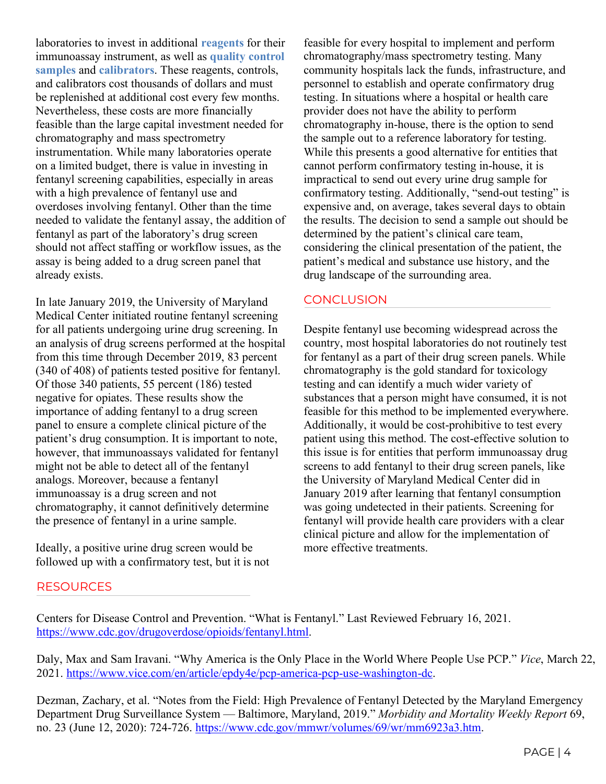laboratories to invest in additional **reagents** for their immunoassay instrument, as well as **quality control samples** and **calibrators**. These reagents, controls, and calibrators cost thousands of dollars and must be replenished at additional cost every few months. Nevertheless, these costs are more financially feasible than the large capital investment needed for chromatography and mass spectrometry instrumentation. While many laboratories operate on a limited budget, there is value in investing in fentanyl screening capabilities, especially in areas with a high prevalence of fentanyl use and overdoses involving fentanyl. Other than the time needed to validate the fentanyl assay, the addition of fentanyl as part of the laboratory's drug screen should not affect staffing or workflow issues, as the assay is being added to a drug screen panel that already exists.

In late January 2019, the University of Maryland Medical Center initiated routine fentanyl screening for all patients undergoing urine drug screening. In an analysis of drug screens performed at the hospital from this time through December 2019, 83 percent (340 of 408) of patients tested positive for fentanyl. Of those 340 patients, 55 percent (186) tested negative for opiates. These results show the importance of adding fentanyl to a drug screen panel to ensure a complete clinical picture of the patient's drug consumption. It is important to note, however, that immunoassays validated for fentanyl might not be able to detect all of the fentanyl analogs. Moreover, because a fentanyl immunoassay is a drug screen and not chromatography, it cannot definitively determine the presence of fentanyl in a urine sample.

Ideally, a positive urine drug screen would be followed up with a confirmatory test, but it is not

**RESOURCES** 

feasible for every hospital to implement and perform chromatography/mass spectrometry testing. Many community hospitals lack the funds, infrastructure, and personnel to establish and operate confirmatory drug testing. In situations where a hospital or health care provider does not have the ability to perform chromatography in-house, there is the option to send the sample out to a reference laboratory for testing. While this presents a good alternative for entities that cannot perform confirmatory testing in-house, it is impractical to send out every urine drug sample for confirmatory testing. Additionally, "send-out testing" is expensive and, on average, takes several days to obtain the results. The decision to send a sample out should be determined by the patient's clinical care team, considering the clinical presentation of the patient, the patient's medical and substance use history, and the drug landscape of the surrounding area.

# **CONCLUSION**

Despite fentanyl use becoming widespread across the country, most hospital laboratories do not routinely test for fentanyl as a part of their drug screen panels. While chromatography is the gold standard for toxicology testing and can identify a much wider variety of substances that a person might have consumed, it is not feasible for this method to be implemented everywhere. Additionally, it would be cost-prohibitive to test every patient using this method. The cost-effective solution to this issue is for entities that perform immunoassay drug screens to add fentanyl to their drug screen panels, like the University of Maryland Medical Center did in January 2019 after learning that fentanyl consumption was going undetected in their patients. Screening for fentanyl will provide health care providers with a clear clinical picture and allow for the implementation of more effective treatments.

Centers for Disease Control and Prevention. "What is Fentanyl." Last Reviewed February 16, 2021. [https://www.cdc.gov/drugoverdose/opioids/fentanyl.html.](https://www.cdc.gov/drugoverdose/opioids/fentanyl.html)

Daly, Max and Sam Iravani. "Why America is the Only Place in the World Where People Use PCP." *Vice*, March 22, 2021. [https://www.vice.com/en/article/epdy4e/pcp-america-pcp-use-washington-dc.](https://www.vice.com/en/article/epdy4e/pcp-america-pcp-use-washington-dc)

Dezman, Zachary, et al. "Notes from the Field: High Prevalence of Fentanyl Detected by the Maryland Emergency Department Drug Surveillance System — Baltimore, Maryland, 2019." *Morbidity and Mortality Weekly Report* 69, no. 23 (June 12, 2020): 724-726. [https://www.cdc.gov/mmwr/volumes/69/wr/mm6923a3.htm.](https://www.cdc.gov/mmwr/volumes/69/wr/mm6923a3.htm)